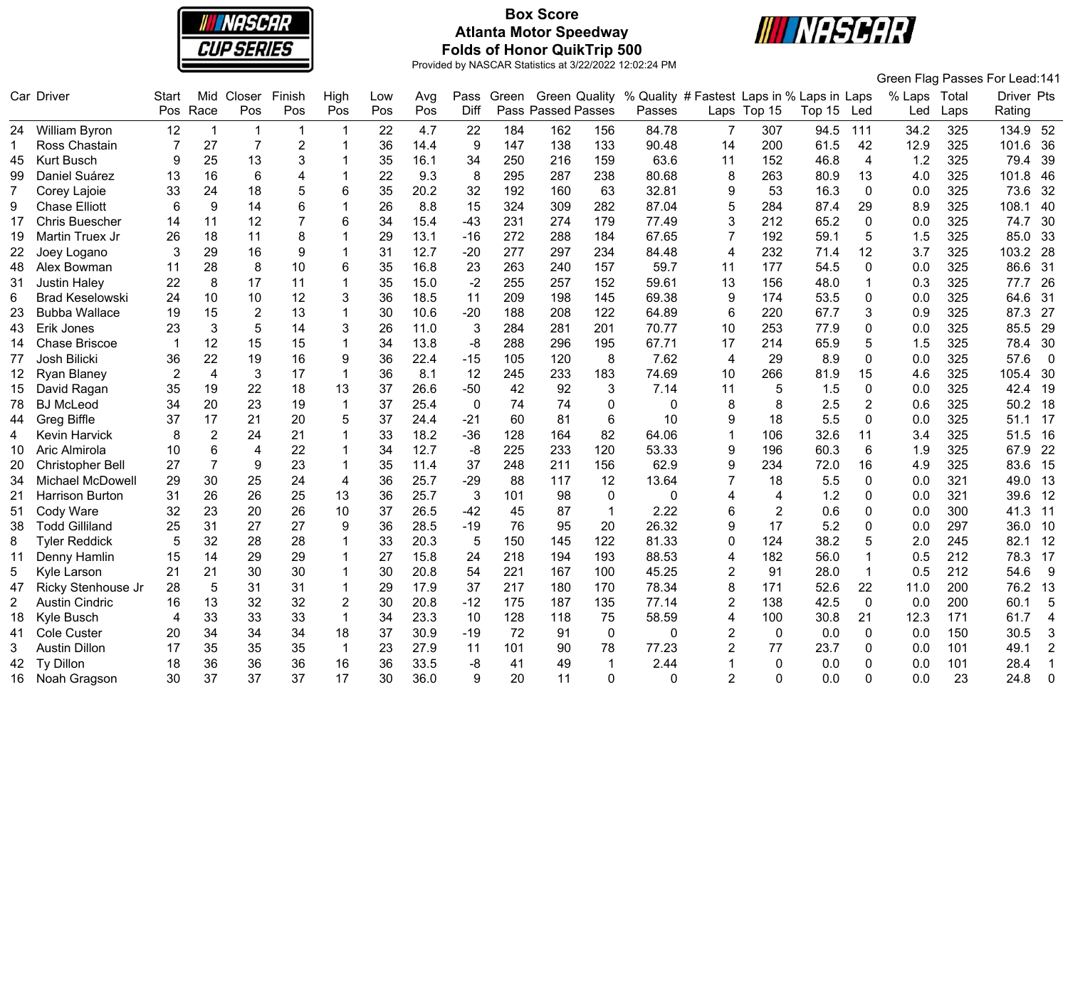

# **Box Score Atlanta Motor Speedway Folds of Honor QuikTrip 500**



|                       |                        |                |                |                 |                |                |     |      |             |       |                      |              |                                            |                |             |        |                |              |      | Green Flag Passes For Lead:141 |                |
|-----------------------|------------------------|----------------|----------------|-----------------|----------------|----------------|-----|------|-------------|-------|----------------------|--------------|--------------------------------------------|----------------|-------------|--------|----------------|--------------|------|--------------------------------|----------------|
|                       | Car Driver             | <b>Start</b>   | Mid            | Closer          | Finish         | High           | Low | Avg  | Pass        | Green | <b>Green Quality</b> |              | % Quality # Fastest Laps in % Laps in Laps |                |             |        |                | % Laps Total |      | Driver Pts                     |                |
|                       |                        | Pos            | Race           | Pos             | Pos            | Pos            | Pos | Pos  | Diff        |       | Pass Passed Passes   |              | Passes                                     |                | Laps Top 15 | Top 15 | Led            | Led          | Laps | Rating                         |                |
|                       | 24 William Byron       | 12             | $\mathbf 1$    | $\mathbf{1}$    | $\overline{1}$ | 1              | 22  | 4.7  | 22          | 184   | 162                  | 156          | 84.78                                      | 7              | 307         | 94.5   | 111            | 34.2         | 325  | 134.9 52                       |                |
| 1                     | Ross Chastain          | 7              | 27             | $\overline{7}$  | $\overline{2}$ |                | 36  | 14.4 | 9           | 147   | 138                  | 133          | 90.48                                      | 14             | 200         | 61.5   | 42             | 12.9         | 325  | 101.6                          | 36             |
| 45                    | <b>Kurt Busch</b>      | 9              | 25             | 13              | 3              |                | 35  | 16.1 | 34          | 250   | 216                  | 159          | 63.6                                       | 11             | 152         | 46.8   | $\overline{4}$ | 1.2          | 325  | 79.4                           | 39             |
| 99                    | Daniel Suárez          | 13             | 16             | $6\phantom{1}6$ | 4              |                | 22  | 9.3  | 8           | 295   | 287                  | 238          | 80.68                                      | 8              | 263         | 80.9   | 13             | 4.0          | 325  | 101.8                          | 46             |
| 7                     | Corey Lajoie           | 33             | 24             | 18              | 5              | 6              | 35  | 20.2 | 32          | 192   | 160                  | 63           | 32.81                                      | 9              | 53          | 16.3   | 0              | 0.0          | 325  | 73.6                           | 32             |
| 9                     | <b>Chase Elliott</b>   | 6              | 9              | 14              | 6              |                | 26  | 8.8  | 15          | 324   | 309                  | 282          | 87.04                                      | 5              | 284         | 87.4   | 29             | 8.9          | 325  | 108.1                          | 40             |
| 17                    | <b>Chris Buescher</b>  | 14             | 11             | 12              | $\overline{7}$ | 6              | 34  | 15.4 | $-43$       | 231   | 274                  | 179          | 77.49                                      | 3              | 212         | 65.2   | $\mathbf{0}$   | 0.0          | 325  | 74.7                           | 30             |
| 19                    | Martin Truex Jr        | 26             | 18             | 11              | 8              |                | 29  | 13.1 | $-16$       | 272   | 288                  | 184          | 67.65                                      | 7              | 192         | 59.1   | 5              | 1.5          | 325  | 85.0                           | 33             |
| 22                    | Joey Logano            | 3              | 29             | 16              | 9              |                | 31  | 12.7 | $-20$       | 277   | 297                  | 234          | 84.48                                      | $\overline{4}$ | 232         | 71.4   | 12             | 3.7          | 325  | 103.2                          | 28             |
| 48                    | Alex Bowman            | 11             | 28             | 8               | 10             | 6              | 35  | 16.8 | 23          | 263   | 240                  | 157          | 59.7                                       | 11             | 177         | 54.5   | $\mathbf{0}$   | 0.0          | 325  | 86.6                           | 31             |
| 31                    | <b>Justin Haley</b>    | 22             | 8              | 17              | 11             | $\overline{1}$ | 35  | 15.0 | $-2$        | 255   | 257                  | 152          | 59.61                                      | 13             | 156         | 48.0   | $\overline{1}$ | 0.3          | 325  | 77.7                           | 26             |
| 6                     | <b>Brad Keselowski</b> | 24             | 10             | 10              | 12             | 3              | 36  | 18.5 | 11          | 209   | 198                  | 145          | 69.38                                      | 9              | 174         | 53.5   | $\mathbf 0$    | 0.0          | 325  | 64.6                           | 31             |
| 23                    | <b>Bubba Wallace</b>   | 19             | 15             | $\overline{2}$  | 13             |                | 30  | 10.6 | $-20$       | 188   | 208                  | 122          | 64.89                                      | 6              | 220         | 67.7   | 3              | 0.9          | 325  | 87.3<br>27                     |                |
| 43                    | Erik Jones             | 23             | 3              | 5               | 14             | 3              | 26  | 11.0 | 3           | 284   | 281                  | 201          | 70.77                                      | 10             | 253         | 77.9   | $\Omega$       | 0.0          | 325  | 85.5                           | 29             |
| 14                    | Chase Briscoe          |                | 12             | 15              | 15             | 1              | 34  | 13.8 | -8          | 288   | 296                  | 195          | 67.71                                      | 17             | 214         | 65.9   | 5              | 1.5          | 325  | 78.4                           | 30             |
| 77                    | Josh Bilicki           | 36             | 22             | 19              | 16             | 9              | 36  | 22.4 | $-15$       | 105   | 120                  | 8            | 7.62                                       | $\overline{4}$ | 29          | 8.9    | $\mathbf 0$    | 0.0          | 325  | 57.6                           | $\overline{0}$ |
| 12                    | Ryan Blaney            | $\overline{2}$ | $\overline{4}$ | 3               | 17             | $\mathbf{1}$   | 36  | 8.1  | 12          | 245   | 233                  | 183          | 74.69                                      | 10             | 266         | 81.9   | 15             | 4.6          | 325  | 105.4                          | 30             |
| 15                    | David Ragan            | 35             | 19             | 22              | 18             | 13             | 37  | 26.6 | $-50$       | 42    | 92                   | 3            | 7.14                                       | 11             | 5           | 1.5    | $\mathbf 0$    | 0.0          | 325  | 42.4                           | 19             |
| 78                    | <b>BJ McLeod</b>       | 34             | 20             | 23              | 19             | $\mathbf 1$    | 37  | 25.4 | $\mathbf 0$ | 74    | 74                   | $\mathbf 0$  | 0                                          | 8              | 8           | 2.5    | 2              | 0.6          | 325  | 50.2                           | 18             |
| 44                    | Greg Biffle            | 37             | 17             | 21              | 20             | 5              | 37  | 24.4 | $-21$       | 60    | 81                   | 6            | 10                                         | 9              | 18          | 5.5    | $\mathbf{0}$   | 0.0          | 325  | 51.1                           | 17             |
| 4                     | Kevin Harvick          | 8              | $\overline{2}$ | 24              | 21             |                | 33  | 18.2 | $-36$       | 128   | 164                  | 82           | 64.06                                      | 1              | 106         | 32.6   | 11             | 3.4          | 325  | 51.5                           | 16             |
| 10                    | Aric Almirola          | 10             | 6              | $\overline{4}$  | 22             |                | 34  | 12.7 | -8          | 225   | 233                  | 120          | 53.33                                      | 9              | 196         | 60.3   | 6              | 1.9          | 325  | 67.9                           | 22             |
| 20                    | Christopher Bell       | 27             | $\overline{7}$ | 9               | 23             |                | 35  | 11.4 | 37          | 248   | 211                  | 156          | 62.9                                       | 9              | 234         | 72.0   | 16             | 4.9          | 325  | 83.6                           | 15             |
| 34                    | Michael McDowell       | 29             | 30             | 25              | 24             | 4              | 36  | 25.7 | $-29$       | 88    | 117                  | 12           | 13.64                                      | 7              | 18          | 5.5    | $\mathbf 0$    | 0.0          | 321  | 49.0                           | 13             |
| 21                    | Harrison Burton        | 31             | 26             | 26              | 25             | 13             | 36  | 25.7 | 3           | 101   | 98                   | $\mathbf 0$  | 0                                          | 4              | 4           | 1.2    | 0              | 0.0          | 321  | 39.6                           | 12             |
| 51                    | Cody Ware              | 32             | 23             | 20              | 26             | 10             | 37  | 26.5 | $-42$       | 45    | 87                   | $\mathbf{1}$ | 2.22                                       | 6              | 2           | 0.6    | 0              | 0.0          | 300  | 41.3                           | 11             |
| 38                    | <b>Todd Gilliland</b>  | 25             | 31             | 27              | 27             | 9              | 36  | 28.5 | $-19$       | 76    | 95                   | 20           | 26.32                                      | 9              | 17          | 5.2    | 0              | 0.0          | 297  | 36.0                           | 10             |
| 8                     | <b>Tyler Reddick</b>   | 5              | 32             | 28              | 28             |                | 33  | 20.3 | 5           | 150   | 145                  | 122          | 81.33                                      | 0              | 124         | 38.2   | 5              | 2.0          | 245  | 82.1                           | 12             |
| 11                    | Denny Hamlin           | 15             | 14             | 29              | 29             |                | 27  | 15.8 | 24          | 218   | 194                  | 193          | 88.53                                      | 4              | 182         | 56.0   | $\overline{1}$ | 0.5          | 212  | 78.3                           | 17             |
| 5                     | Kyle Larson            | 21             | 21             | 30              | 30             |                | 30  | 20.8 | 54          | 221   | 167                  | 100          | 45.25                                      | $\overline{2}$ | 91          | 28.0   | $\mathbf{1}$   | 0.5          | 212  | 54.6                           | -9             |
| 47                    | Ricky Stenhouse Jr     | 28             | 5              | 31              | 31             |                | 29  | 17.9 | 37          | 217   | 180                  | 170          | 78.34                                      | 8              | 171         | 52.6   | 22             | 11.0         | 200  | 76.2                           | -13            |
| $\mathbf{2}^{\prime}$ | <b>Austin Cindric</b>  | 16             | 13             | 32              | 32             | $\overline{2}$ | 30  | 20.8 | $-12$       | 175   | 187                  | 135          | 77.14                                      | $\overline{2}$ | 138         | 42.5   | $\mathbf 0$    | 0.0          | 200  | 60.1                           | 5              |
| 18                    | Kyle Busch             | 4              | 33             | 33              | 33             | $\mathbf 1$    | 34  | 23.3 | 10          | 128   | 118                  | 75           | 58.59                                      | 4              | 100         | 30.8   | 21             | 12.3         | 171  | 61.7                           | $\overline{4}$ |
| 41                    | Cole Custer            | 20             | 34             | 34              | 34             | 18             | 37  | 30.9 | $-19$       | 72    | 91                   | $\mathbf 0$  | 0                                          | $\overline{2}$ | $\Omega$    | 0.0    | 0              | 0.0          | 150  | 30.5                           | 3              |
| 3                     | <b>Austin Dillon</b>   | 17             | 35             | 35              | 35             | $\overline{1}$ | 23  | 27.9 | 11          | 101   | 90                   | 78           | 77.23                                      | $\overline{2}$ | 77          | 23.7   | $\Omega$       | 0.0          | 101  | 49.1                           | $\overline{2}$ |
| 42                    | Ty Dillon              | 18             | 36             | 36              | 36             | 16             | 36  | 33.5 | -8          | 41    | 49                   | $\mathbf{1}$ | 2.44                                       | 1              | 0           | 0.0    | $\Omega$       | 0.0          | 101  | 28.4                           | $\mathbf{1}$   |
| 16                    | Noah Gragson           | 30             | 37             | 37              | 37             | 17             | 30  | 36.0 | 9           | 20    | 11                   | $\Omega$     | 0                                          | $\overline{2}$ | $\Omega$    | 0.0    | $\Omega$       | 0.0          | 23   | 24.8                           | $\mathbf 0$    |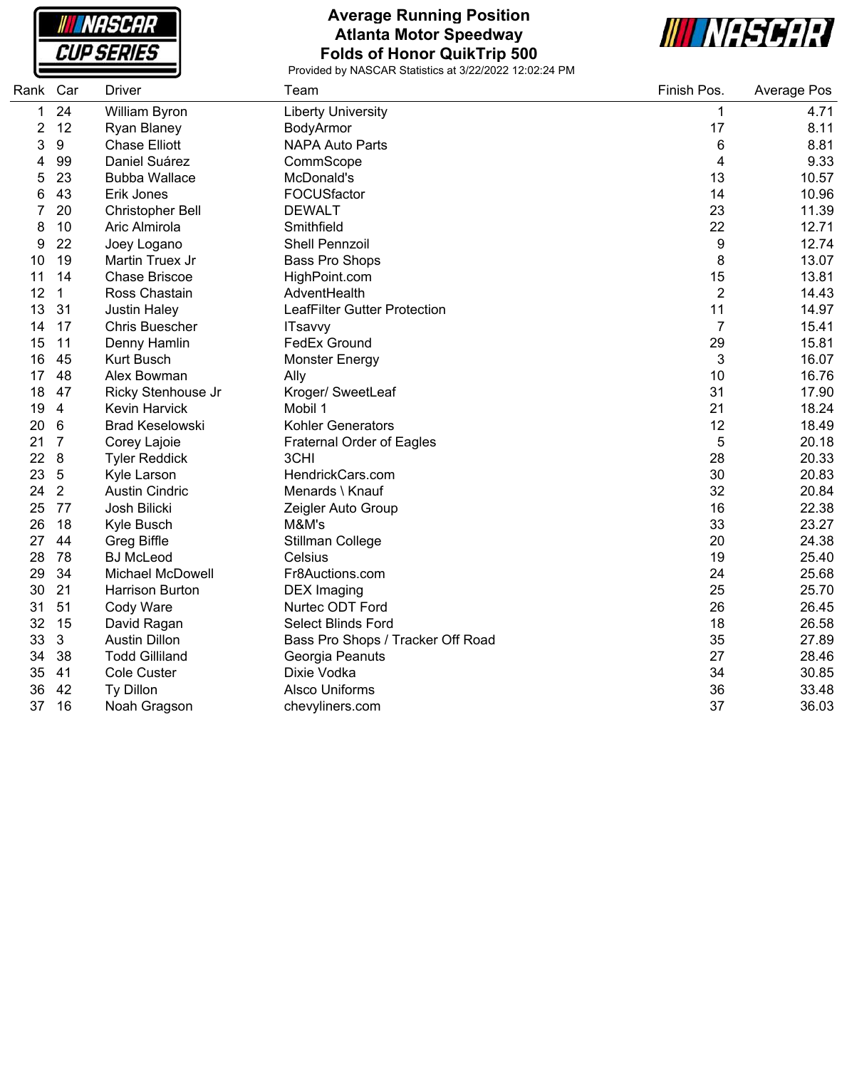NASCAR **CUP SERIES** 

#### **Average Running Position Atlanta Motor Speedway Folds of Honor QuikTrip 500**



| Rank           | Car            | <b>Driver</b>           | Team                              | Finish Pos.             | Average Pos |
|----------------|----------------|-------------------------|-----------------------------------|-------------------------|-------------|
| 1              | 24             | William Byron           | <b>Liberty University</b>         | $\mathbf 1$             | 4.71        |
| $\overline{c}$ | 12             | Ryan Blaney             | BodyArmor                         | 17                      | 8.11        |
| 3              | 9              | <b>Chase Elliott</b>    | <b>NAPA Auto Parts</b>            | 6                       | 8.81        |
| 4              | 99             | Daniel Suárez           | CommScope                         | $\overline{\mathbf{4}}$ | 9.33        |
| 5              | 23             | <b>Bubba Wallace</b>    | McDonald's                        | 13                      | 10.57       |
| 6              | 43             | Erik Jones              | FOCUSfactor                       | 14                      | 10.96       |
| 7              | 20             | Christopher Bell        | <b>DEWALT</b>                     | 23                      | 11.39       |
| 8              | 10             | Aric Almirola           | Smithfield                        | 22                      | 12.71       |
| 9              | 22             | Joey Logano             | <b>Shell Pennzoil</b>             | 9                       | 12.74       |
| 10             | 19             | Martin Truex Jr         | <b>Bass Pro Shops</b>             | 8                       | 13.07       |
| 11             | 14             | <b>Chase Briscoe</b>    | HighPoint.com                     | 15                      | 13.81       |
| 12             | $\mathbf 1$    | Ross Chastain           | AdventHealth                      | $\overline{2}$          | 14.43       |
| 13             | 31             | <b>Justin Haley</b>     | LeafFilter Gutter Protection      | 11                      | 14.97       |
| 14             | 17             | <b>Chris Buescher</b>   | <b>ITsavvy</b>                    | $\overline{7}$          | 15.41       |
| 15             | 11             | Denny Hamlin            | <b>FedEx Ground</b>               | 29                      | 15.81       |
| 16             | 45             | <b>Kurt Busch</b>       | <b>Monster Energy</b>             | 3                       | 16.07       |
| 17             | 48             | Alex Bowman             | Ally                              | 10                      | 16.76       |
| 18             | 47             | Ricky Stenhouse Jr      | Kroger/ SweetLeaf                 | 31                      | 17.90       |
| 19             | $\overline{4}$ | Kevin Harvick           | Mobil 1                           | 21                      | 18.24       |
| 20             | 6              | <b>Brad Keselowski</b>  | <b>Kohler Generators</b>          | 12                      | 18.49       |
| 21             | $\overline{7}$ | Corey Lajoie            | <b>Fraternal Order of Eagles</b>  | 5                       | 20.18       |
| 22             | 8              | <b>Tyler Reddick</b>    | 3CHI                              | 28                      | 20.33       |
| 23             | $\sqrt{5}$     | Kyle Larson             | HendrickCars.com                  | 30                      | 20.83       |
| 24             | $\overline{2}$ | <b>Austin Cindric</b>   | Menards \ Knauf                   | 32                      | 20.84       |
| 25             | 77             | Josh Bilicki            | Zeigler Auto Group                | 16                      | 22.38       |
| 26             | 18             | Kyle Busch              | M&M's                             | 33                      | 23.27       |
| 27             | 44             | <b>Greg Biffle</b>      | Stillman College                  | 20                      | 24.38       |
| 28             | 78             | <b>BJ</b> McLeod        | Celsius                           | 19                      | 25.40       |
| 29             | 34             | <b>Michael McDowell</b> | Fr8Auctions.com                   | 24                      | 25.68       |
| 30             | 21             | Harrison Burton         | <b>DEX</b> Imaging                | 25                      | 25.70       |
| 31             | 51             | Cody Ware               | Nurtec ODT Ford                   | 26                      | 26.45       |
| 32             | 15             | David Ragan             | <b>Select Blinds Ford</b>         | 18                      | 26.58       |
| 33             | 3              | <b>Austin Dillon</b>    | Bass Pro Shops / Tracker Off Road | 35                      | 27.89       |
| 34             | 38             | <b>Todd Gilliland</b>   | Georgia Peanuts                   | 27                      | 28.46       |
| 35             | 41             | <b>Cole Custer</b>      | Dixie Vodka                       | 34                      | 30.85       |
| 36             | 42             | Ty Dillon               | <b>Alsco Uniforms</b>             | 36                      | 33.48       |
| 37             | 16             | Noah Gragson            | chevyliners.com                   | 37                      | 36.03       |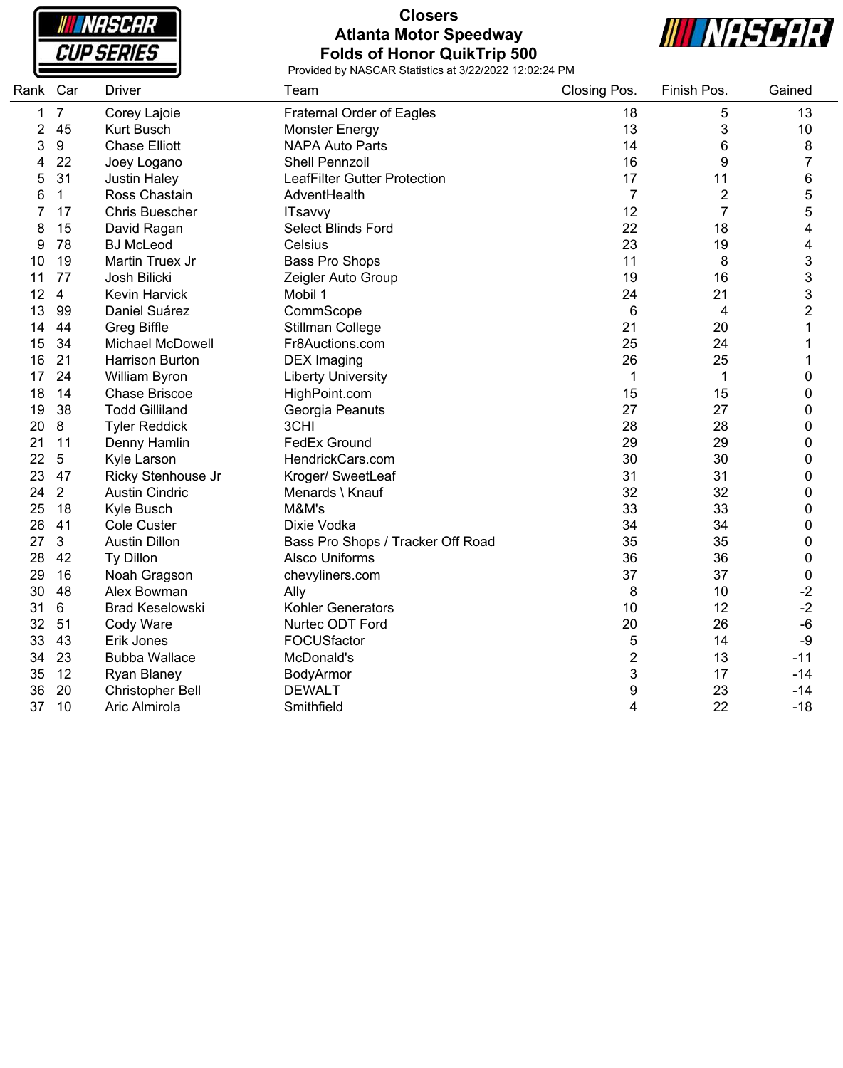**INASCAR CUP SERIES** 

#### **Closers Atlanta Motor Speedway Folds of Honor QuikTrip 500**



| Rank Car |                  | <b>Driver</b>           | Team                              | Closing Pos.              | Finish Pos.    | Gained           |
|----------|------------------|-------------------------|-----------------------------------|---------------------------|----------------|------------------|
| 1        | $\overline{7}$   | Corey Lajoie            | <b>Fraternal Order of Eagles</b>  | 18                        | 5              | 13               |
| 2        | 45               | <b>Kurt Busch</b>       | <b>Monster Energy</b>             | 13                        | 3              | $10$             |
| 3        | $\boldsymbol{9}$ | <b>Chase Elliott</b>    | <b>NAPA Auto Parts</b>            | 14                        | 6              | 8                |
| 4        | 22               | Joey Logano             | Shell Pennzoil                    | 16                        | 9              | $\overline{7}$   |
| 5        | 31               | <b>Justin Haley</b>     | LeafFilter Gutter Protection      | 17                        | 11             | 6                |
| 6        | $\mathbf{1}$     | Ross Chastain           | AdventHealth                      | $\overline{7}$            | $\overline{c}$ | 5                |
| 7        | 17               | <b>Chris Buescher</b>   | <b>ITsavvy</b>                    | 12                        | $\overline{7}$ | 5                |
| 8        | 15               | David Ragan             | Select Blinds Ford                | 22                        | 18             | 4                |
| 9        | 78               | <b>BJ</b> McLeod        | Celsius                           | 23                        | 19             | 4                |
| 10       | 19               | Martin Truex Jr         | <b>Bass Pro Shops</b>             | 11                        | 8              | 3                |
| 11       | 77               | Josh Bilicki            | Zeigler Auto Group                | 19                        | 16             | 3                |
| 12       | $\overline{4}$   | Kevin Harvick           | Mobil 1                           | 24                        | 21             | 3                |
| 13       | 99               | Daniel Suárez           | CommScope                         | 6                         | $\overline{4}$ | $\overline{2}$   |
| 14       | 44               | <b>Greg Biffle</b>      | Stillman College                  | 21                        | 20             | 1                |
| 15       | 34               | Michael McDowell        | Fr8Auctions.com                   | 25                        | 24             | 1                |
| 16       | 21               | <b>Harrison Burton</b>  | <b>DEX</b> Imaging                | 26                        | 25             | 1                |
| 17       | 24               | William Byron           | <b>Liberty University</b>         | $\mathbf 1$               | $\mathbf{1}$   | $\mathbf 0$      |
| 18       | 14               | <b>Chase Briscoe</b>    | HighPoint.com                     | 15                        | 15             | 0                |
| 19       | 38               | <b>Todd Gilliland</b>   | Georgia Peanuts                   | 27                        | 27             | $\boldsymbol{0}$ |
| 20       | $\bf 8$          | <b>Tyler Reddick</b>    | 3CHI                              | 28                        | 28             | $\mathbf 0$      |
| 21       | 11               | Denny Hamlin            | <b>FedEx Ground</b>               | 29                        | 29             | $\boldsymbol{0}$ |
| 22       | 5                | Kyle Larson             | HendrickCars.com                  | 30                        | 30             | $\mathbf 0$      |
| 23       | 47               | Ricky Stenhouse Jr      | Kroger/ SweetLeaf                 | 31                        | 31             | $\boldsymbol{0}$ |
| 24       | 2                | <b>Austin Cindric</b>   | Menards \ Knauf                   | 32                        | 32             | $\mathbf 0$      |
| 25       | 18               | Kyle Busch              | M&M's                             | 33                        | 33             | $\boldsymbol{0}$ |
| 26       | 41               | Cole Custer             | Dixie Vodka                       | 34                        | 34             | $\mathbf 0$      |
| 27       | 3                | <b>Austin Dillon</b>    | Bass Pro Shops / Tracker Off Road | 35                        | 35             | $\mathbf 0$      |
| 28       | 42               | Ty Dillon               | <b>Alsco Uniforms</b>             | 36                        | 36             | $\mathbf 0$      |
| 29       | 16               | Noah Gragson            | chevyliners.com                   | 37                        | 37             | $\mathbf 0$      |
| 30       | 48               | Alex Bowman             | Ally                              | 8                         | 10             | $-2$             |
| 31       | $6\phantom{1}$   | <b>Brad Keselowski</b>  | Kohler Generators                 | 10                        | 12             | $-2$             |
| 32       | 51               | Cody Ware               | Nurtec ODT Ford                   | 20                        | 26             | $-6$             |
| 33       | 43               | Erik Jones              | FOCUSfactor                       | 5                         | 14             | -9               |
| 34       | 23               | <b>Bubba Wallace</b>    | McDonald's                        | $\overline{2}$            | 13             | $-11$            |
| 35       | 12               | Ryan Blaney             | BodyArmor                         | $\ensuremath{\mathsf{3}}$ | 17             | $-14$            |
| 36       | 20               | <b>Christopher Bell</b> | <b>DEWALT</b>                     | 9                         | 23             | $-14$            |
| 37       | 10               | Aric Almirola           | Smithfield                        | 4                         | 22             | $-18$            |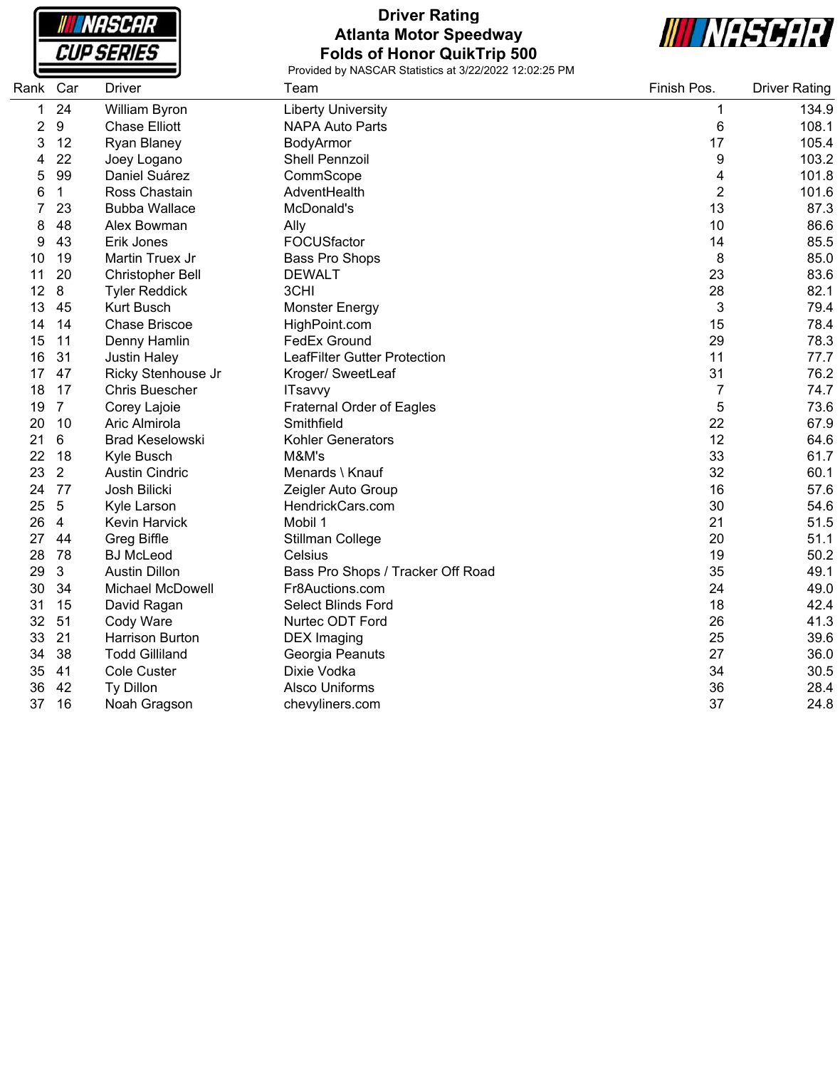**NASCAR CUP SERIES** 

# **Driver Rating Atlanta Motor Speedway Folds of Honor QuikTrip 500**



| Rank | Car            | <b>Driver</b>          | Team                                | Finish Pos.    | <b>Driver Rating</b> |
|------|----------------|------------------------|-------------------------------------|----------------|----------------------|
| 1    | 24             | William Byron          | <b>Liberty University</b>           | 1              | 134.9                |
| 2    | 9              | <b>Chase Elliott</b>   | <b>NAPA Auto Parts</b>              | 6              | 108.1                |
| 3    | 12             | Ryan Blaney            | BodyArmor                           | 17             | 105.4                |
| 4    | 22             | Joey Logano            | <b>Shell Pennzoil</b>               | 9              | 103.2                |
| 5    | 99             | Daniel Suárez          | CommScope                           | 4              | 101.8                |
| 6    | 1              | Ross Chastain          | AdventHealth                        | $\overline{2}$ | 101.6                |
|      | 23             | <b>Bubba Wallace</b>   | McDonald's                          | 13             | 87.3                 |
| 8    | 48             | Alex Bowman            | Ally                                | 10             | 86.6                 |
| 9    | 43             | Erik Jones             | FOCUSfactor                         | 14             | 85.5                 |
| 10   | 19             | Martin Truex Jr        | <b>Bass Pro Shops</b>               | 8              | 85.0                 |
| 11   | 20             | Christopher Bell       | <b>DEWALT</b>                       | 23             | 83.6                 |
| 12   | 8              | <b>Tyler Reddick</b>   | 3CHI                                | 28             | 82.1                 |
| 13   | 45             | <b>Kurt Busch</b>      | <b>Monster Energy</b>               | $\mathbf{3}$   | 79.4                 |
| 14   | 14             | <b>Chase Briscoe</b>   | HighPoint.com                       | 15             | 78.4                 |
| 15   | 11             | Denny Hamlin           | <b>FedEx Ground</b>                 | 29             | 78.3                 |
| 16   | 31             | <b>Justin Haley</b>    | <b>LeafFilter Gutter Protection</b> | 11             | 77.7                 |
| 17   | 47             | Ricky Stenhouse Jr     | Kroger/ SweetLeaf                   | 31             | 76.2                 |
| 18   | 17             | <b>Chris Buescher</b>  | <b>ITsavvy</b>                      | 7              | 74.7                 |
| 19   | $\overline{7}$ | Corey Lajoie           | <b>Fraternal Order of Eagles</b>    | 5              | 73.6                 |
| 20   | 10             | Aric Almirola          | Smithfield                          | 22             | 67.9                 |
| 21   | 6              | <b>Brad Keselowski</b> | Kohler Generators                   | 12             | 64.6                 |
| 22   | 18             | Kyle Busch             | M&M's                               | 33             | 61.7                 |
| 23   | $\overline{2}$ | <b>Austin Cindric</b>  | Menards \ Knauf                     | 32             | 60.1                 |
| 24   | 77             | Josh Bilicki           | Zeigler Auto Group                  | 16             | 57.6                 |
| 25   | 5              | Kyle Larson            | HendrickCars.com                    | 30             | 54.6                 |
| 26   | 4              | Kevin Harvick          | Mobil 1                             | 21             | 51.5                 |
| 27   | 44             | <b>Greg Biffle</b>     | Stillman College                    | 20             | 51.1                 |
| 28   | 78             | <b>BJ</b> McLeod       | Celsius                             | 19             | 50.2                 |
| 29   | 3              | <b>Austin Dillon</b>   | Bass Pro Shops / Tracker Off Road   | 35             | 49.1                 |
| 30   | 34             | Michael McDowell       | Fr8Auctions.com                     | 24             | 49.0                 |
| 31   | 15             | David Ragan            | <b>Select Blinds Ford</b>           | 18             | 42.4                 |
| 32   | 51             | Cody Ware              | Nurtec ODT Ford                     | 26             | 41.3                 |
| 33   | 21             | <b>Harrison Burton</b> | <b>DEX</b> Imaging                  | 25             | 39.6                 |
| 34   | 38             | <b>Todd Gilliland</b>  | Georgia Peanuts                     | 27             | 36.0                 |
| 35   | 41             | <b>Cole Custer</b>     | Dixie Vodka                         | 34             | 30.5                 |
| 36   | 42             | Ty Dillon              | <b>Alsco Uniforms</b>               | 36             | 28.4                 |
| 37   | 16             | Noah Gragson           | chevyliners.com                     | 37             | 24.8                 |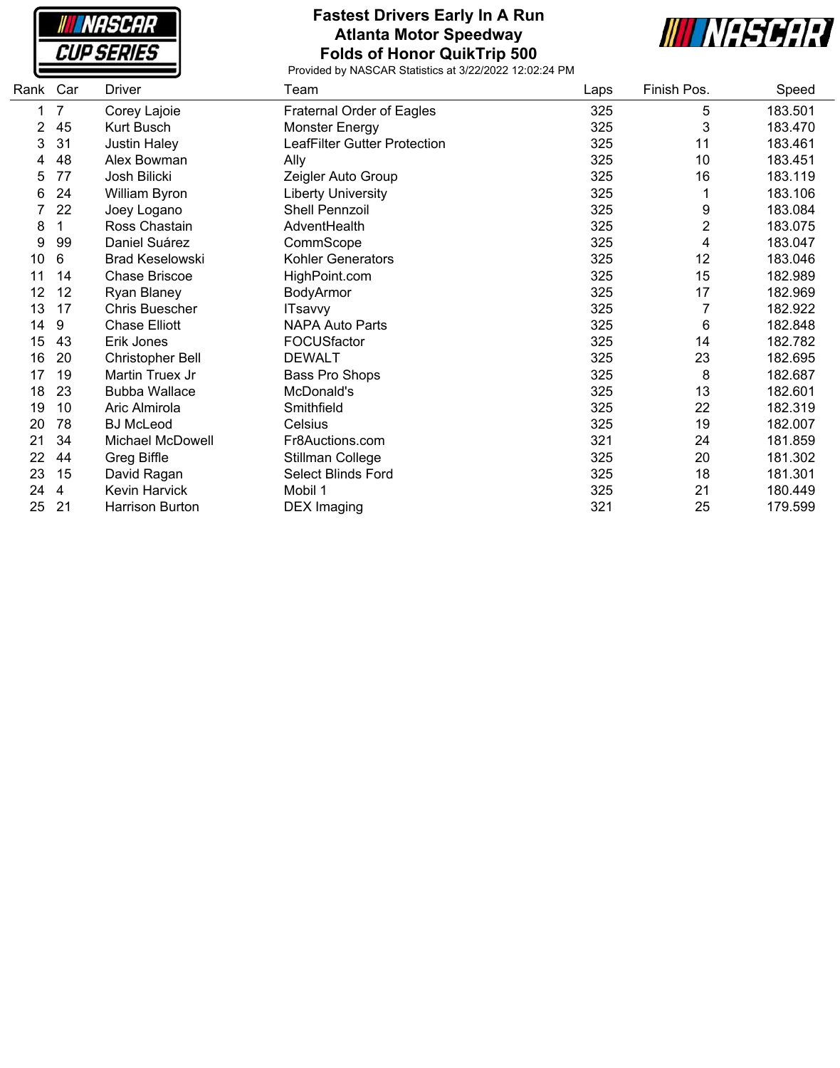**NASCAR CUP SERIES** 

#### **Fastest Drivers Early In A Run Atlanta Motor Speedway Folds of Honor QuikTrip 500**



| Car | <b>Driver</b>           | Team                         | Laps | Finish Pos. | Speed   |
|-----|-------------------------|------------------------------|------|-------------|---------|
| 7   | Corey Lajoie            | Fraternal Order of Eagles    | 325  | 5           | 183.501 |
| 45  | Kurt Busch              | Monster Energy               | 325  | 3           | 183.470 |
| 31  | <b>Justin Haley</b>     | LeafFilter Gutter Protection | 325  | 11          | 183.461 |
| 48  | Alex Bowman             | Ally                         | 325  | 10          | 183.451 |
| 77  | Josh Bilicki            | Zeigler Auto Group           | 325  | 16          | 183.119 |
| 24  | William Byron           | <b>Liberty University</b>    | 325  |             | 183.106 |
| 22  | Joey Logano             | <b>Shell Pennzoil</b>        | 325  | 9           | 183.084 |
| 1   | Ross Chastain           | AdventHealth                 | 325  | 2           | 183.075 |
| 99  | Daniel Suárez           | CommScope                    | 325  | 4           | 183.047 |
| 6   | <b>Brad Keselowski</b>  | Kohler Generators            | 325  | 12          | 183.046 |
| 14  | <b>Chase Briscoe</b>    | HighPoint.com                | 325  | 15          | 182.989 |
| 12  | Ryan Blaney             | BodyArmor                    | 325  | 17          | 182.969 |
| 17  | Chris Buescher          | <b>ITsavvy</b>               | 325  |             | 182.922 |
| 9   | <b>Chase Elliott</b>    | <b>NAPA Auto Parts</b>       | 325  | 6           | 182.848 |
| 43  | Erik Jones              | FOCUSfactor                  | 325  | 14          | 182.782 |
| 20  | Christopher Bell        | <b>DEWALT</b>                | 325  | 23          | 182.695 |
| 19  | Martin Truex Jr         | Bass Pro Shops               | 325  | 8           | 182.687 |
| 23  | <b>Bubba Wallace</b>    | McDonald's                   | 325  | 13          | 182.601 |
| 10  | Aric Almirola           | Smithfield                   | 325  | 22          | 182.319 |
| 78  | <b>BJ</b> McLeod        | Celsius                      | 325  | 19          | 182.007 |
| 34  | <b>Michael McDowell</b> | Fr8Auctions.com              | 321  | 24          | 181.859 |
| 44  | Greg Biffle             | Stillman College             | 325  | 20          | 181.302 |
| 15  | David Ragan             | Select Blinds Ford           | 325  | 18          | 181.301 |
| 4   | <b>Kevin Harvick</b>    | Mobil 1                      | 325  | 21          | 180.449 |
| 21  | <b>Harrison Burton</b>  | <b>DEX Imaging</b>           | 321  | 25          | 179.599 |
|     | Rank                    |                              |      |             |         |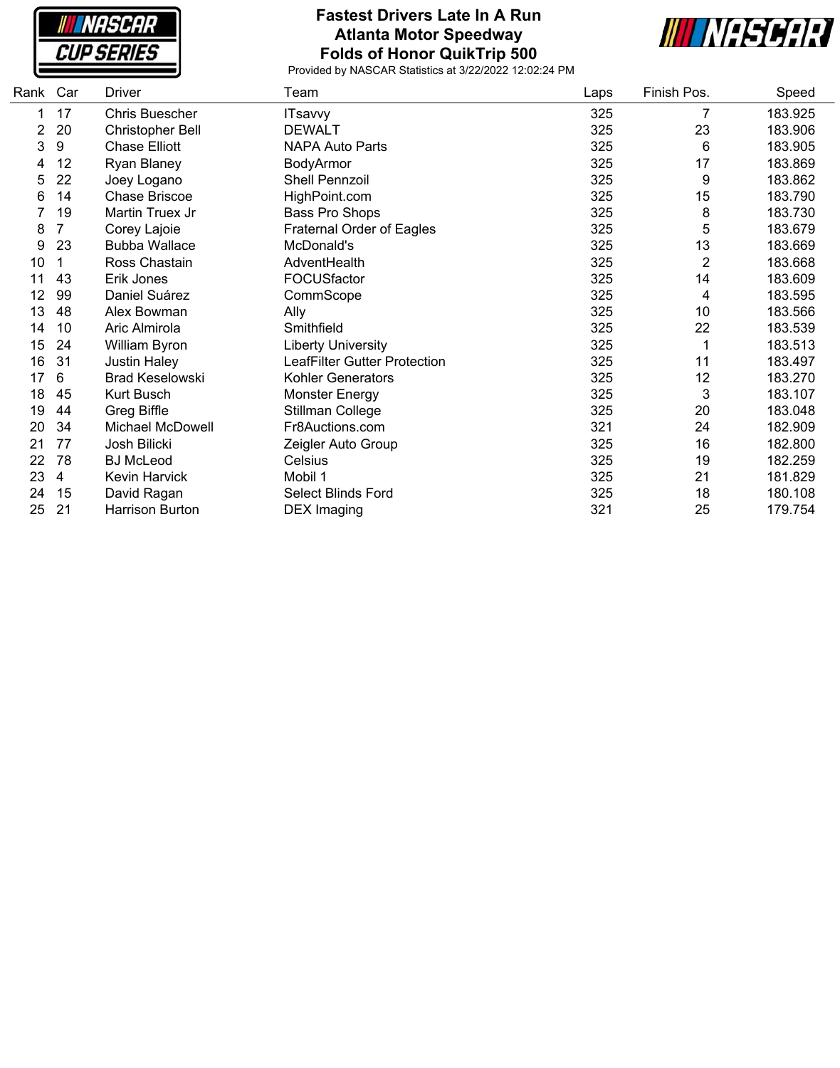**NASCAR CUP SERIES** 

# **Fastest Drivers Late In A Run Atlanta Motor Speedway Folds of Honor QuikTrip 500**



| Rank | Car | <b>Driver</b>           | Team                                | Laps | Finish Pos.    | Speed   |
|------|-----|-------------------------|-------------------------------------|------|----------------|---------|
|      | 17  | Chris Buescher          | <b>ITsavvy</b>                      | 325  | 7              | 183.925 |
| 2    | 20  | <b>Christopher Bell</b> | <b>DEWALT</b>                       | 325  | 23             | 183.906 |
| 3    | 9   | <b>Chase Elliott</b>    | <b>NAPA Auto Parts</b>              | 325  | 6              | 183.905 |
| 4    | 12  | <b>Ryan Blaney</b>      | BodyArmor                           | 325  | 17             | 183.869 |
| 5    | 22  | Joey Logano             | Shell Pennzoil                      | 325  | 9              | 183.862 |
| 6    | 14  | Chase Briscoe           | HighPoint.com                       | 325  | 15             | 183.790 |
|      | 19  | Martin Truex Jr         | Bass Pro Shops                      | 325  | 8              | 183.730 |
| 8    | 7   | Corey Lajoie            | Fraternal Order of Eagles           | 325  | 5              | 183.679 |
| 9    | 23  | <b>Bubba Wallace</b>    | McDonald's                          | 325  | 13             | 183.669 |
| 10   |     | Ross Chastain           | AdventHealth                        | 325  | $\overline{2}$ | 183.668 |
| 11   | 43  | Erik Jones              | FOCUSfactor                         | 325  | 14             | 183.609 |
| 12   | 99  | Daniel Suárez           | CommScope                           | 325  | 4              | 183.595 |
| 13   | 48  | Alex Bowman             | Ally                                | 325  | 10             | 183.566 |
| 14   | 10  | Aric Almirola           | Smithfield                          | 325  | 22             | 183.539 |
| 15   | 24  | William Byron           | <b>Liberty University</b>           | 325  | 1              | 183.513 |
| 16   | 31  | <b>Justin Haley</b>     | <b>LeafFilter Gutter Protection</b> | 325  | 11             | 183.497 |
| 17   | 6   | <b>Brad Keselowski</b>  | <b>Kohler Generators</b>            | 325  | 12             | 183.270 |
| 18   | 45  | Kurt Busch              | <b>Monster Energy</b>               | 325  | 3              | 183.107 |
| 19   | 44  | Greg Biffle             | Stillman College                    | 325  | 20             | 183.048 |
| 20   | 34  | <b>Michael McDowell</b> | Fr8Auctions.com                     | 321  | 24             | 182.909 |
| 21   | 77  | Josh Bilicki            | Zeigler Auto Group                  | 325  | 16             | 182.800 |
| 22   | 78  | <b>BJ</b> McLeod        | Celsius                             | 325  | 19             | 182.259 |
| 23   | 4   | Kevin Harvick           | Mobil 1                             | 325  | 21             | 181.829 |
| 24   | 15  | David Ragan             | Select Blinds Ford                  | 325  | 18             | 180.108 |
| 25   | 21  | Harrison Burton         | <b>DEX Imaging</b>                  | 321  | 25             | 179.754 |
|      |     |                         |                                     |      |                |         |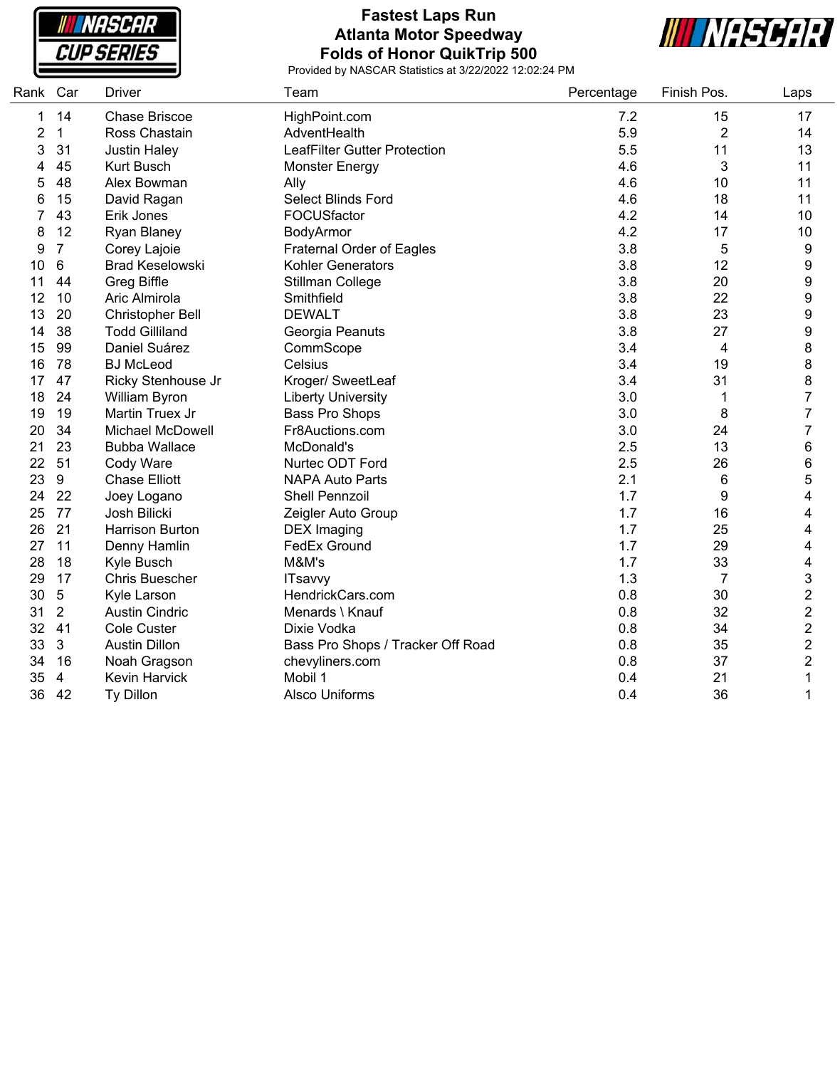**NASCAR CUP SERIES** 

### **Fastest Laps Run Atlanta Motor Speedway Folds of Honor QuikTrip 500**



| Rank Car |                  | <b>Driver</b>           | Team                                | Percentage | Finish Pos. | Laps                    |
|----------|------------------|-------------------------|-------------------------------------|------------|-------------|-------------------------|
| 1        | 14               | Chase Briscoe           | HighPoint.com                       | 7.2        | 15          | 17                      |
| 2        | $\mathbf 1$      | Ross Chastain           | AdventHealth                        | 5.9        | 2           | 14                      |
| 3        | 31               | <b>Justin Haley</b>     | <b>LeafFilter Gutter Protection</b> | 5.5        | 11          | 13                      |
| 4        | 45               | <b>Kurt Busch</b>       | <b>Monster Energy</b>               | 4.6        | 3           | 11                      |
| 5        | 48               | Alex Bowman             | Ally                                | 4.6        | 10          | 11                      |
| 6        | 15               | David Ragan             | Select Blinds Ford                  | 4.6        | 18          | 11                      |
| 7        | 43               | Erik Jones              | FOCUSfactor                         | 4.2        | 14          | 10                      |
| 8        | 12               | Ryan Blaney             | BodyArmor                           | 4.2        | 17          | 10                      |
| 9        | $\overline{7}$   | Corey Lajoie            | <b>Fraternal Order of Eagles</b>    | 3.8        | 5           | 9                       |
| 10       | 6                | <b>Brad Keselowski</b>  | <b>Kohler Generators</b>            | 3.8        | 12          | 9                       |
| 11       | 44               | <b>Greg Biffle</b>      | Stillman College                    | 3.8        | 20          | $\boldsymbol{9}$        |
| 12       | 10               | Aric Almirola           | Smithfield                          | 3.8        | 22          | $\boldsymbol{9}$        |
| 13       | 20               | <b>Christopher Bell</b> | <b>DEWALT</b>                       | 3.8        | 23          | 9                       |
| 14       | 38               | <b>Todd Gilliland</b>   | Georgia Peanuts                     | 3.8        | 27          | $\boldsymbol{9}$        |
| 15       | 99               | Daniel Suárez           | CommScope                           | 3.4        | 4           | 8                       |
| 16       | 78               | <b>BJ McLeod</b>        | Celsius                             | 3.4        | 19          | 8                       |
| 17       | 47               | Ricky Stenhouse Jr      | Kroger/ SweetLeaf                   | 3.4        | 31          | 8                       |
| 18       | 24               | William Byron           | <b>Liberty University</b>           | 3.0        | 1           | 7                       |
| 19       | 19               | Martin Truex Jr         | Bass Pro Shops                      | 3.0        | 8           | 7                       |
| 20       | 34               | <b>Michael McDowell</b> | Fr8Auctions.com                     | 3.0        | 24          | 7                       |
| 21       | 23               | <b>Bubba Wallace</b>    | McDonald's                          | 2.5        | 13          | 6                       |
| 22       | 51               | Cody Ware               | Nurtec ODT Ford                     | 2.5        | 26          | 6                       |
| 23       | $\boldsymbol{9}$ | <b>Chase Elliott</b>    | <b>NAPA Auto Parts</b>              | 2.1        | 6           | 5                       |
| 24       | 22               | Joey Logano             | <b>Shell Pennzoil</b>               | 1.7        | 9           | 4                       |
| 25       | 77               | Josh Bilicki            | Zeigler Auto Group                  | 1.7        | 16          | 4                       |
| 26       | 21               | <b>Harrison Burton</b>  | <b>DEX Imaging</b>                  | 1.7        | 25          | $\overline{4}$          |
| 27       | 11               | Denny Hamlin            | FedEx Ground                        | 1.7        | 29          | 4                       |
| 28       | 18               | Kyle Busch              | M&M's                               | 1.7        | 33          | 4                       |
| 29       | 17               | <b>Chris Buescher</b>   | <b>ITsavvy</b>                      | 1.3        | 7           | 3                       |
| 30       | 5                | Kyle Larson             | HendrickCars.com                    | 0.8        | 30          | $\overline{\mathbf{c}}$ |
| 31       | $\overline{2}$   | <b>Austin Cindric</b>   | Menards \ Knauf                     | 0.8        | 32          | $\mathbf{2}$            |
| 32       | 41               | <b>Cole Custer</b>      | Dixie Vodka                         | 0.8        | 34          | $\overline{\mathbf{c}}$ |
| 33       | 3                | <b>Austin Dillon</b>    | Bass Pro Shops / Tracker Off Road   | 0.8        | 35          | $\boldsymbol{2}$        |
| 34       | 16               | Noah Gragson            | chevyliners.com                     | 0.8        | 37          | 2                       |
| 35       | 4                | <b>Kevin Harvick</b>    | Mobil 1                             | 0.4        | 21          | 1                       |
| 36       | 42               | Ty Dillon               | <b>Alsco Uniforms</b>               | 0.4        | 36          | 1                       |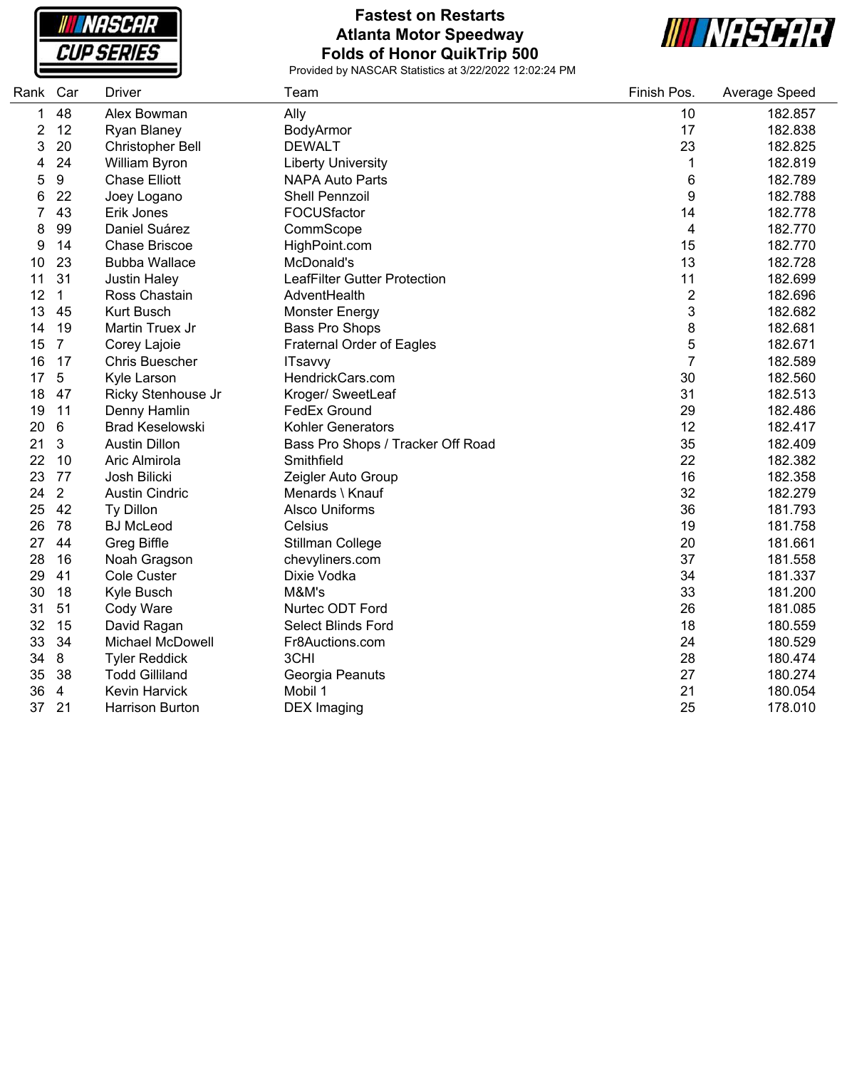

# **Fastest on Restarts Atlanta Motor Speedway Folds of Honor QuikTrip 500**



| Rank | Car            | <b>Driver</b>          | Team                              | Finish Pos.             | Average Speed |
|------|----------------|------------------------|-----------------------------------|-------------------------|---------------|
| 1    | 48             | Alex Bowman            | Ally                              | 10                      | 182.857       |
| 2    | 12             | Ryan Blaney            | BodyArmor                         | 17                      | 182.838       |
| 3    | 20             | Christopher Bell       | <b>DEWALT</b>                     | 23                      | 182.825       |
| 4    | 24             | William Byron          | <b>Liberty University</b>         | $\mathbf 1$             | 182.819       |
| 5    | 9              | <b>Chase Elliott</b>   | <b>NAPA Auto Parts</b>            | $\,6$                   | 182.789       |
| 6    | 22             | Joey Logano            | Shell Pennzoil                    | $\boldsymbol{9}$        | 182.788       |
| 7    | 43             | Erik Jones             | FOCUSfactor                       | 14                      | 182.778       |
| 8    | 99             | Daniel Suárez          | CommScope                         | $\overline{\mathbf{4}}$ | 182.770       |
| 9    | 14             | <b>Chase Briscoe</b>   | HighPoint.com                     | 15                      | 182.770       |
| 10   | 23             | <b>Bubba Wallace</b>   | McDonald's                        | 13                      | 182.728       |
| 11   | 31             | <b>Justin Haley</b>    | LeafFilter Gutter Protection      | 11                      | 182.699       |
| 12   | $\mathbf{1}$   | Ross Chastain          | AdventHealth                      | $\overline{\mathbf{c}}$ | 182.696       |
| 13   | 45             | <b>Kurt Busch</b>      | <b>Monster Energy</b>             | 3                       | 182.682       |
| 14   | 19             | Martin Truex Jr        | <b>Bass Pro Shops</b>             | 8                       | 182.681       |
| 15   | $\overline{7}$ | Corey Lajoie           | <b>Fraternal Order of Eagles</b>  | 5                       | 182.671       |
| 16   | 17             | <b>Chris Buescher</b>  | <b>ITsavvy</b>                    | $\overline{7}$          | 182.589       |
| 17   | 5              | Kyle Larson            | HendrickCars.com                  | 30                      | 182.560       |
| 18   | 47             | Ricky Stenhouse Jr     | Kroger/ SweetLeaf                 | 31                      | 182.513       |
| 19   | 11             | Denny Hamlin           | FedEx Ground                      | 29                      | 182.486       |
| 20   | 6              | <b>Brad Keselowski</b> | Kohler Generators                 | 12                      | 182.417       |
| 21   | 3              | <b>Austin Dillon</b>   | Bass Pro Shops / Tracker Off Road | 35                      | 182.409       |
| 22   | 10             | Aric Almirola          | Smithfield                        | 22                      | 182.382       |
| 23   | 77             | Josh Bilicki           | Zeigler Auto Group                | 16                      | 182.358       |
| 24   | $\overline{2}$ | <b>Austin Cindric</b>  | Menards \ Knauf                   | 32                      | 182.279       |
| 25   | 42             | Ty Dillon              | <b>Alsco Uniforms</b>             | 36                      | 181.793       |
| 26   | 78             | <b>BJ McLeod</b>       | Celsius                           | 19                      | 181.758       |
| 27   | 44             | <b>Greg Biffle</b>     | Stillman College                  | 20                      | 181.661       |
| 28   | 16             | Noah Gragson           | chevyliners.com                   | 37                      | 181.558       |
| 29   | 41             | <b>Cole Custer</b>     | Dixie Vodka                       | 34                      | 181.337       |
| 30   | 18             | Kyle Busch             | M&M's                             | 33                      | 181.200       |
| 31   | 51             | Cody Ware              | Nurtec ODT Ford                   | 26                      | 181.085       |
| 32   | 15             | David Ragan            | Select Blinds Ford                | 18                      | 180.559       |
| 33   | 34             | Michael McDowell       | Fr8Auctions.com                   | 24                      | 180.529       |
| 34   | 8              | <b>Tyler Reddick</b>   | 3CHI                              | 28                      | 180.474       |
| 35   | 38             | <b>Todd Gilliland</b>  | Georgia Peanuts                   | 27                      | 180.274       |
| 36   | $\overline{4}$ | Kevin Harvick          | Mobil 1                           | 21                      | 180.054       |
| 37   | 21             | <b>Harrison Burton</b> | <b>DEX</b> Imaging                | 25                      | 178.010       |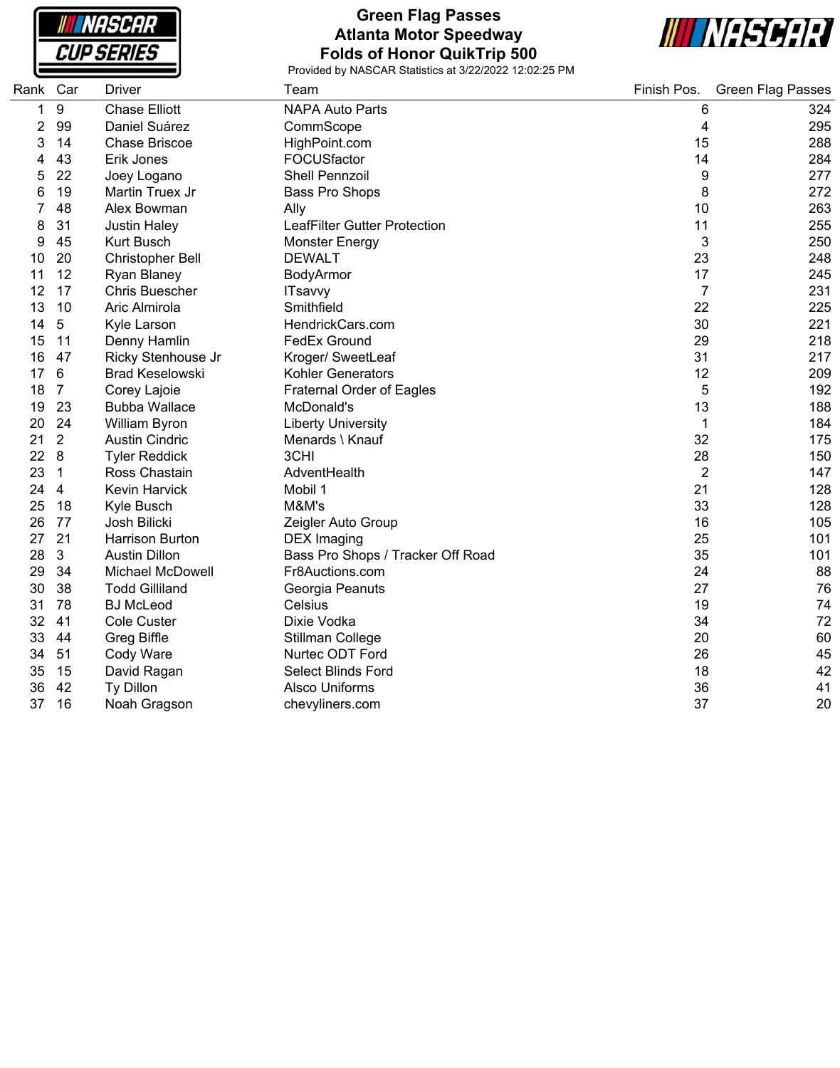**NASCAR CUP SERIES** 

# **Green Flag Passes Atlanta Motor Speedway Folds of Honor QuikTrip 500**



| Rank Car |                  | <b>Driver</b>           | Team                                | Finish Pos.    | <b>Green Flag Passes</b> |
|----------|------------------|-------------------------|-------------------------------------|----------------|--------------------------|
| 1        | $\boldsymbol{9}$ | <b>Chase Elliott</b>    | <b>NAPA Auto Parts</b>              | 6              | 324                      |
| 2        | 99               | Daniel Suárez           | CommScope                           | 4              | 295                      |
| 3        | 14               | <b>Chase Briscoe</b>    | HighPoint.com                       | 15             | 288                      |
| 4        | 43               | Erik Jones              | FOCUSfactor                         | 14             | 284                      |
| 5        | 22               | Joey Logano             | <b>Shell Pennzoil</b>               | 9              | 277                      |
| 6        | 19               | Martin Truex Jr         | Bass Pro Shops                      | 8              | 272                      |
|          | 48               | Alex Bowman             | Ally                                | 10             | 263                      |
| 8        | 31               | <b>Justin Haley</b>     | <b>LeafFilter Gutter Protection</b> | 11             | 255                      |
| 9        | 45               | <b>Kurt Busch</b>       | <b>Monster Energy</b>               | 3              | 250                      |
| 10       | 20               | <b>Christopher Bell</b> | <b>DEWALT</b>                       | 23             | 248                      |
| 11       | 12               | <b>Ryan Blaney</b>      | BodyArmor                           | 17             | 245                      |
| 12       | 17               | <b>Chris Buescher</b>   | <b>ITsavvy</b>                      | $\overline{7}$ | 231                      |
| 13       | 10               | Aric Almirola           | Smithfield                          | 22             | 225                      |
| 14       | 5                | Kyle Larson             | HendrickCars.com                    | 30             | 221                      |
| 15       | 11               | Denny Hamlin            | <b>FedEx Ground</b>                 | 29             | 218                      |
| 16       | 47               | Ricky Stenhouse Jr      | Kroger/ SweetLeaf                   | 31             | 217                      |
| 17       | 6                | <b>Brad Keselowski</b>  | Kohler Generators                   | 12             | 209                      |
| 18       | $\overline{7}$   | Corey Lajoie            | Fraternal Order of Eagles           | 5              | 192                      |
| 19       | 23               | <b>Bubba Wallace</b>    | McDonald's                          | 13             | 188                      |
| 20       | 24               | William Byron           | <b>Liberty University</b>           | 1              | 184                      |
| 21       | 2                | <b>Austin Cindric</b>   | Menards \ Knauf                     | 32             | 175                      |
| 22       | 8                | <b>Tyler Reddick</b>    | 3CHI                                | 28             | 150                      |
| 23       | 1                | Ross Chastain           | AdventHealth                        | $\overline{2}$ | 147                      |
| 24       | 4                | <b>Kevin Harvick</b>    | Mobil 1                             | 21             | 128                      |
| 25       | 18               | Kyle Busch              | M&M's                               | 33             | 128                      |
| 26       | 77               | Josh Bilicki            | Zeigler Auto Group                  | 16             | 105                      |
| 27       | 21               | <b>Harrison Burton</b>  | <b>DEX</b> Imaging                  | 25             | 101                      |
| 28       | 3                | <b>Austin Dillon</b>    | Bass Pro Shops / Tracker Off Road   | 35             | 101                      |
| 29       | 34               | <b>Michael McDowell</b> | Fr8Auctions.com                     | 24             | 88                       |
| 30       | 38               | <b>Todd Gilliland</b>   | Georgia Peanuts                     | 27             | 76                       |
| 31       | 78               | <b>BJ</b> McLeod        | Celsius                             | 19             | 74                       |
| 32       | 41               | <b>Cole Custer</b>      | Dixie Vodka                         | 34             | 72                       |
| 33       | 44               | Greg Biffle             | Stillman College                    | 20             | 60                       |
| 34       | 51               | Cody Ware               | Nurtec ODT Ford                     | 26             | 45                       |
| 35       | 15               | David Ragan             | Select Blinds Ford                  | 18             | 42                       |
| 36       | 42               | Ty Dillon               | Alsco Uniforms                      | 36             | 41                       |
| 37       | 16               | Noah Gragson            | chevyliners.com                     | 37             | 20                       |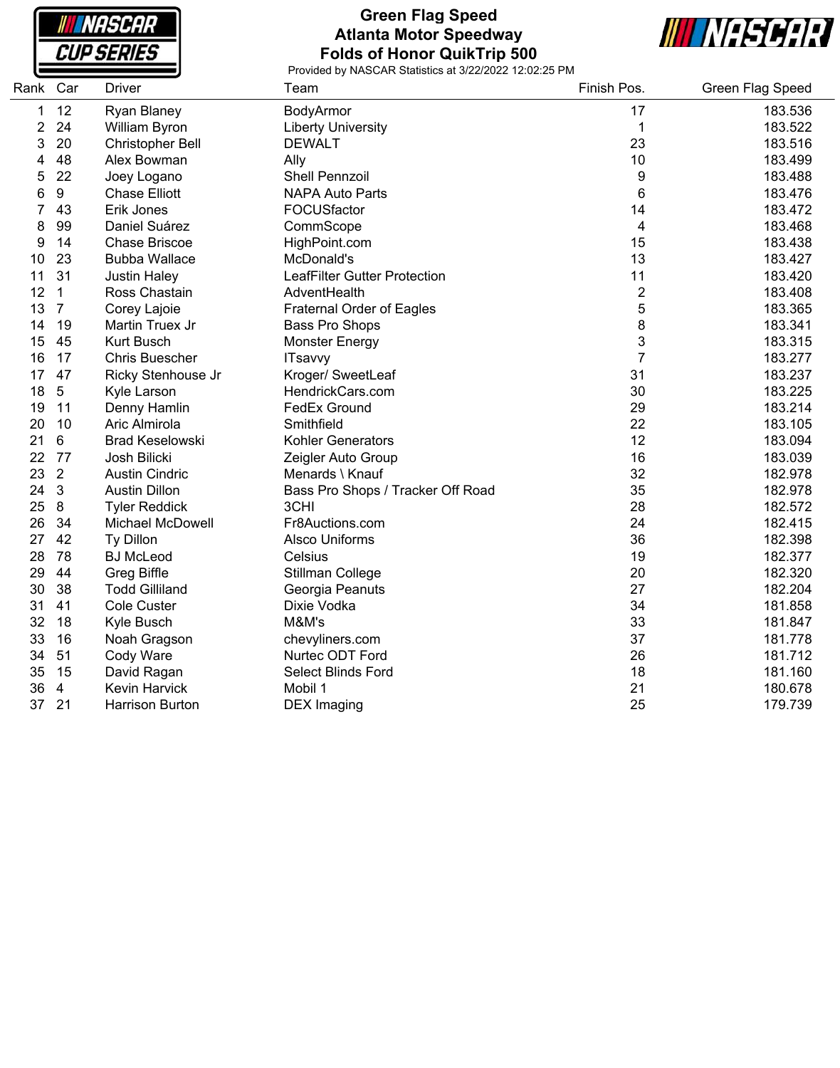

# **Green Flag Speed Atlanta Motor Speedway Folds of Honor QuikTrip 500**



| Rank | Car            | <b>Driver</b>           | Team                              | Finish Pos.    | Green Flag Speed |
|------|----------------|-------------------------|-----------------------------------|----------------|------------------|
| 1    | 12             | Ryan Blaney             | BodyArmor                         | 17             | 183.536          |
| 2    | 24             | William Byron           | <b>Liberty University</b>         | 1              | 183.522          |
| 3    | 20             | <b>Christopher Bell</b> | <b>DEWALT</b>                     | 23             | 183.516          |
| 4    | 48             | Alex Bowman             | Ally                              | 10             | 183.499          |
| 5    | 22             | Joey Logano             | <b>Shell Pennzoil</b>             | 9              | 183.488          |
| 6    | 9              | <b>Chase Elliott</b>    | <b>NAPA Auto Parts</b>            | 6              | 183.476          |
| 7    | 43             | Erik Jones              | FOCUSfactor                       | 14             | 183.472          |
| 8    | 99             | Daniel Suárez           | CommScope                         | 4              | 183.468          |
| 9    | 14             | <b>Chase Briscoe</b>    | HighPoint.com                     | 15             | 183.438          |
| 10   | 23             | <b>Bubba Wallace</b>    | McDonald's                        | 13             | 183.427          |
| 11   | 31             | <b>Justin Haley</b>     | LeafFilter Gutter Protection      | 11             | 183.420          |
| 12   | $\mathbf{1}$   | Ross Chastain           | AdventHealth                      | $\overline{2}$ | 183.408          |
| 13   | $\overline{7}$ | Corey Lajoie            | <b>Fraternal Order of Eagles</b>  | 5              | 183.365          |
| 14   | 19             | Martin Truex Jr         | Bass Pro Shops                    | 8              | 183.341          |
| 15   | 45             | <b>Kurt Busch</b>       | <b>Monster Energy</b>             | 3              | 183.315          |
| 16   | 17             | <b>Chris Buescher</b>   | <b>ITsavvy</b>                    | $\overline{7}$ | 183.277          |
| 17   | 47             | Ricky Stenhouse Jr      | Kroger/ SweetLeaf                 | 31             | 183.237          |
| 18   | $\overline{5}$ | Kyle Larson             | HendrickCars.com                  | 30             | 183.225          |
| 19   | 11             | Denny Hamlin            | <b>FedEx Ground</b>               | 29             | 183.214          |
| 20   | 10             | Aric Almirola           | Smithfield                        | 22             | 183.105          |
| 21   | 6              | <b>Brad Keselowski</b>  | <b>Kohler Generators</b>          | 12             | 183.094          |
| 22   | 77             | Josh Bilicki            | Zeigler Auto Group                | 16             | 183.039          |
| 23   | $\sqrt{2}$     | <b>Austin Cindric</b>   | Menards \ Knauf                   | 32             | 182.978          |
| 24   | 3              | <b>Austin Dillon</b>    | Bass Pro Shops / Tracker Off Road | 35             | 182.978          |
| 25   | 8              | <b>Tyler Reddick</b>    | 3CHI                              | 28             | 182.572          |
| 26   | 34             | <b>Michael McDowell</b> | Fr8Auctions.com                   | 24             | 182.415          |
| 27   | 42             | Ty Dillon               | <b>Alsco Uniforms</b>             | 36             | 182.398          |
| 28   | 78             | <b>BJ McLeod</b>        | Celsius                           | 19             | 182.377          |
| 29   | 44             | Greg Biffle             | Stillman College                  | 20             | 182.320          |
| 30   | 38             | <b>Todd Gilliland</b>   | Georgia Peanuts                   | 27             | 182.204          |
| 31   | 41             | Cole Custer             | Dixie Vodka                       | 34             | 181.858          |
| 32   | 18             | Kyle Busch              | M&M's                             | 33             | 181.847          |
| 33   | 16             | Noah Gragson            | chevyliners.com                   | 37             | 181.778          |
| 34   | 51             | Cody Ware               | Nurtec ODT Ford                   | 26             | 181.712          |
| 35   | 15             | David Ragan             | Select Blinds Ford                | 18             | 181.160          |
| 36   | $\overline{4}$ | Kevin Harvick           | Mobil 1                           | 21             | 180.678          |
| 37   | 21             | <b>Harrison Burton</b>  | <b>DEX</b> Imaging                | 25             | 179.739          |
|      |                |                         |                                   |                |                  |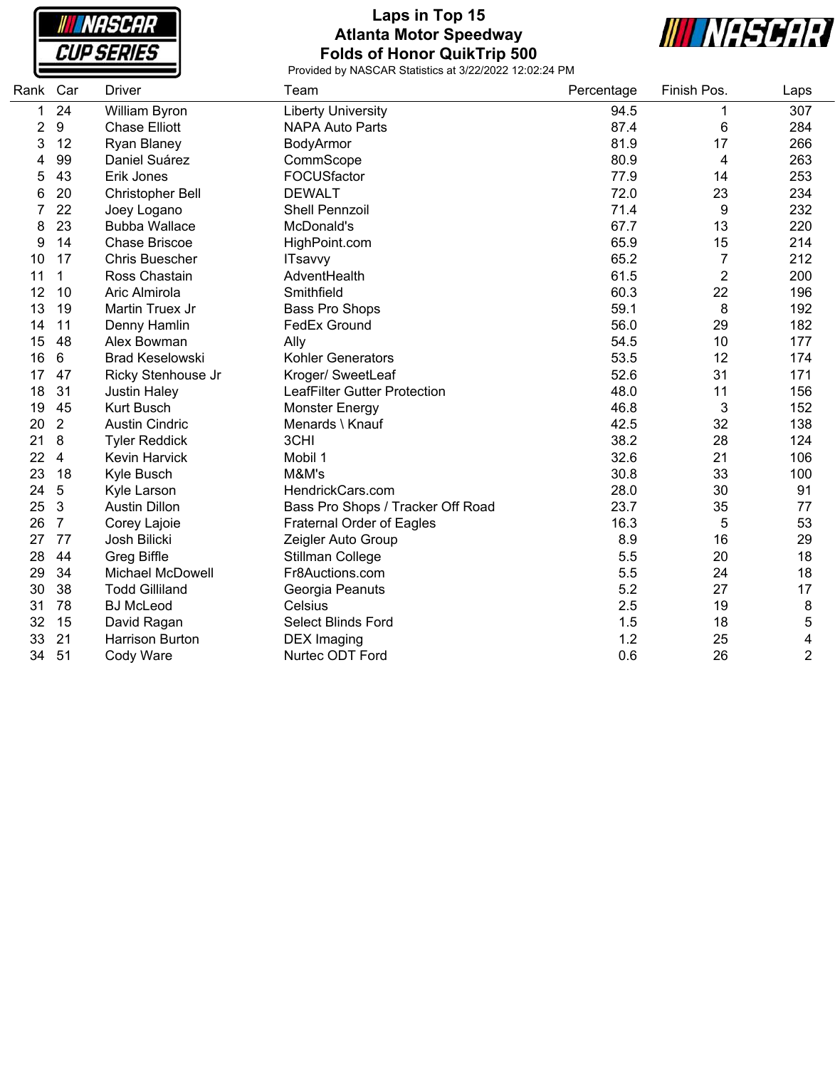**NASCAR CUP SERIES** 

# **Laps in Top 15 Atlanta Motor Speedway Folds of Honor QuikTrip 500**



| Rank | Car              | <b>Driver</b>           | Team                              | Percentage | Finish Pos.    | Laps           |
|------|------------------|-------------------------|-----------------------------------|------------|----------------|----------------|
| 1    | 24               | William Byron           | <b>Liberty University</b>         | 94.5       |                | 307            |
| 2    | $\boldsymbol{9}$ | <b>Chase Elliott</b>    | <b>NAPA Auto Parts</b>            | 87.4       | 6              | 284            |
| 3    | 12               | Ryan Blaney             | BodyArmor                         | 81.9       | 17             | 266            |
| 4    | 99               | Daniel Suárez           | CommScope                         | 80.9       | 4              | 263            |
| 5    | 43               | Erik Jones              | FOCUSfactor                       | 77.9       | 14             | 253            |
| 6    | 20               | <b>Christopher Bell</b> | <b>DEWALT</b>                     | 72.0       | 23             | 234            |
|      | 22               | Joey Logano             | <b>Shell Pennzoil</b>             | 71.4       | 9              | 232            |
| 8    | 23               | <b>Bubba Wallace</b>    | McDonald's                        | 67.7       | 13             | 220            |
| 9    | 14               | <b>Chase Briscoe</b>    | HighPoint.com                     | 65.9       | 15             | 214            |
| 10   | 17               | <b>Chris Buescher</b>   | <b>ITsavvy</b>                    | 65.2       | 7              | 212            |
| 11   | 1                | Ross Chastain           | AdventHealth                      | 61.5       | $\overline{2}$ | 200            |
| 12   | 10               | Aric Almirola           | Smithfield                        | 60.3       | 22             | 196            |
| 13   | 19               | Martin Truex Jr         | Bass Pro Shops                    | 59.1       | 8              | 192            |
| 14   | 11               | Denny Hamlin            | <b>FedEx Ground</b>               | 56.0       | 29             | 182            |
| 15   | 48               | Alex Bowman             | Ally                              | 54.5       | 10             | 177            |
| 16   | 6                | <b>Brad Keselowski</b>  | <b>Kohler Generators</b>          | 53.5       | 12             | 174            |
| 17   | 47               | Ricky Stenhouse Jr      | Kroger/ SweetLeaf                 | 52.6       | 31             | 171            |
| 18   | 31               | <b>Justin Haley</b>     | LeafFilter Gutter Protection      | 48.0       | 11             | 156            |
| 19   | 45               | Kurt Busch              | Monster Energy                    | 46.8       | 3              | 152            |
| 20   | $\overline{2}$   | <b>Austin Cindric</b>   | Menards \ Knauf                   | 42.5       | 32             | 138            |
| 21   | 8                | <b>Tyler Reddick</b>    | 3CHI                              | 38.2       | 28             | 124            |
| 22   | 4                | <b>Kevin Harvick</b>    | Mobil 1                           | 32.6       | 21             | 106            |
| 23   | 18               | Kyle Busch              | M&M's                             | 30.8       | 33             | 100            |
| 24   | 5                | Kyle Larson             | HendrickCars.com                  | 28.0       | 30             | 91             |
| 25   | $\mathbf{3}$     | <b>Austin Dillon</b>    | Bass Pro Shops / Tracker Off Road | 23.7       | 35             | 77             |
| 26   | $\overline{7}$   | Corey Lajoie            | <b>Fraternal Order of Eagles</b>  | 16.3       | 5              | 53             |
| 27   | 77               | Josh Bilicki            | Zeigler Auto Group                | 8.9        | 16             | 29             |
| 28   | 44               | Greg Biffle             | Stillman College                  | 5.5        | 20             | 18             |
| 29   | 34               | Michael McDowell        | Fr8Auctions.com                   | 5.5        | 24             | 18             |
| 30   | 38               | <b>Todd Gilliland</b>   | Georgia Peanuts                   | 5.2        | 27             | 17             |
| 31   | 78               | <b>BJ</b> McLeod        | Celsius                           | 2.5        | 19             | 8              |
| 32   | 15               | David Ragan             | <b>Select Blinds Ford</b>         | 1.5        | 18             | 5              |
| 33   | 21               | <b>Harrison Burton</b>  | <b>DEX</b> Imaging                | 1.2        | 25             | 4              |
| 34   | 51               | Cody Ware               | Nurtec ODT Ford                   | 0.6        | 26             | $\overline{2}$ |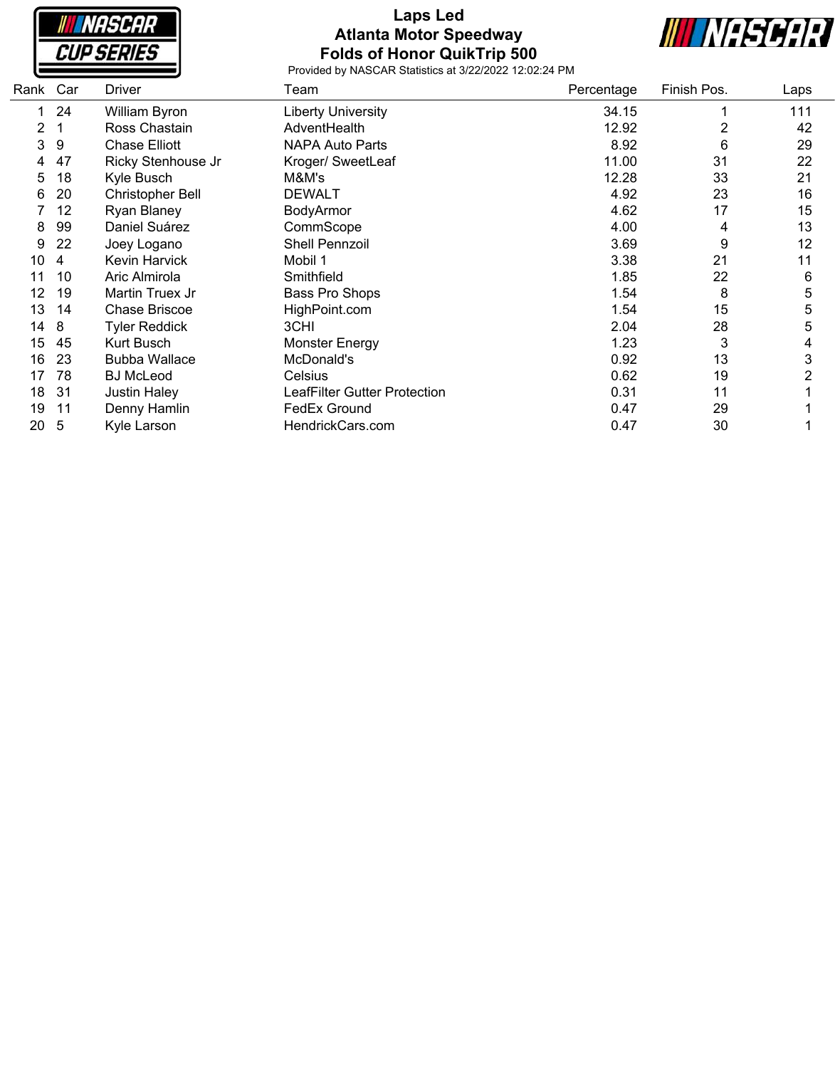

# **Laps Led Atlanta Motor Speedway Folds of Honor QuikTrip 500**



| Rank | Car | Driver                  | Team                         | Percentage | Finish Pos. | Laps |
|------|-----|-------------------------|------------------------------|------------|-------------|------|
|      | 24  | William Byron           | <b>Liberty University</b>    | 34.15      |             | 111  |
| 2    |     | Ross Chastain           | AdventHealth                 | 12.92      | 2           | 42   |
| 3    | 9   | <b>Chase Elliott</b>    | <b>NAPA Auto Parts</b>       | 8.92       | 6           | 29   |
| 4    | 47  | Ricky Stenhouse Jr      | Kroger/ SweetLeaf            | 11.00      | 31          | 22   |
| 5    | 18  | Kyle Busch              | M&M's                        | 12.28      | 33          | 21   |
| 6    | 20  | <b>Christopher Bell</b> | <b>DEWALT</b>                | 4.92       | 23          | 16   |
|      | 12  | Ryan Blaney             | BodyArmor                    | 4.62       | 17          | 15   |
| 8    | 99  | Daniel Suárez           | CommScope                    | 4.00       | 4           | 13   |
| 9    | 22  | Joey Logano             | Shell Pennzoil               | 3.69       | 9           | 12   |
| 10   | 4   | <b>Kevin Harvick</b>    | Mobil 1                      | 3.38       | 21          | 11   |
| 11   | 10  | Aric Almirola           | Smithfield                   | 1.85       | 22          | 6    |
| 12   | 19  | Martin Truex Jr         | Bass Pro Shops               | 1.54       | 8           | 5    |
| 13   | 14  | <b>Chase Briscoe</b>    | HighPoint.com                | 1.54       | 15          | 5    |
| 14   | 8   | <b>Tyler Reddick</b>    | 3CHI                         | 2.04       | 28          | 5    |
| 15   | 45  | Kurt Busch              | <b>Monster Energy</b>        | 1.23       | 3           | 4    |
| 16   | 23  | <b>Bubba Wallace</b>    | McDonald's                   | 0.92       | 13          | 3    |
| 17   | 78  | <b>BJ</b> McLeod        | Celsius                      | 0.62       | 19          |      |
| 18   | 31  | <b>Justin Haley</b>     | LeafFilter Gutter Protection | 0.31       | 11          |      |
| 19   | 11  | Denny Hamlin            | FedEx Ground                 | 0.47       | 29          |      |
| 20   | 5   | Kyle Larson             | HendrickCars.com             | 0.47       | 30          |      |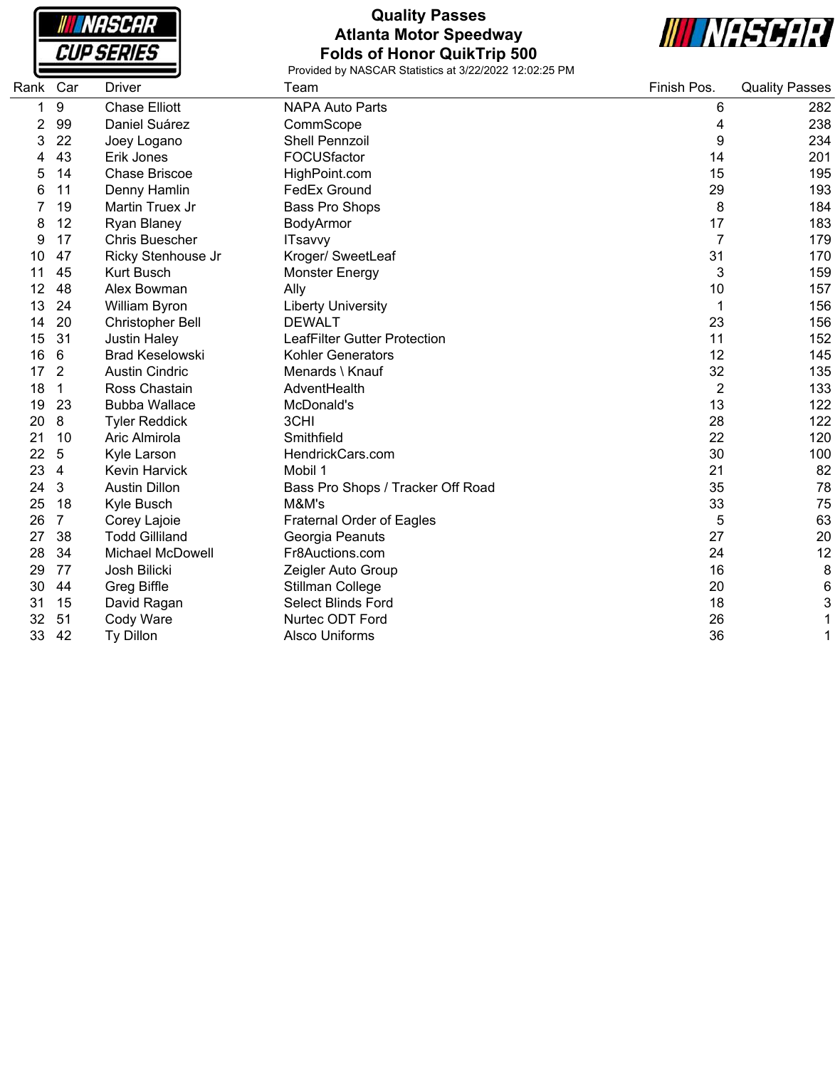

# **Quality Passes Atlanta Motor Speedway Folds of Honor QuikTrip 500**



| Rank | Car            | <b>Driver</b>           | Team                                | Finish Pos.    | <b>Quality Passes</b> |
|------|----------------|-------------------------|-------------------------------------|----------------|-----------------------|
| 1    | 9              | <b>Chase Elliott</b>    | <b>NAPA Auto Parts</b>              | 6              | 282                   |
| 2    | 99             | Daniel Suárez           | CommScope                           | 4              | 238                   |
| 3    | 22             | Joey Logano             | <b>Shell Pennzoil</b>               | 9              | 234                   |
|      | 43             | Erik Jones              | FOCUSfactor                         | 14             | 201                   |
| 5    | 14             | <b>Chase Briscoe</b>    | HighPoint.com                       | 15             | 195                   |
| 6    | 11             | Denny Hamlin            | <b>FedEx Ground</b>                 | 29             | 193                   |
|      | 19             | Martin Truex Jr         | Bass Pro Shops                      | 8              | 184                   |
| 8    | 12             | Ryan Blaney             | BodyArmor                           | 17             | 183                   |
| 9    | 17             | Chris Buescher          | <b>ITsavvy</b>                      | $\overline{7}$ | 179                   |
| 10   | 47             | Ricky Stenhouse Jr      | Kroger/ SweetLeaf                   | 31             | 170                   |
| 11   | 45             | <b>Kurt Busch</b>       | <b>Monster Energy</b>               | 3              | 159                   |
| 12   | 48             | Alex Bowman             | Ally                                | 10             | 157                   |
| 13   | 24             | William Byron           | <b>Liberty University</b>           | 1              | 156                   |
| 14   | 20             | Christopher Bell        | <b>DEWALT</b>                       | 23             | 156                   |
| 15   | 31             | <b>Justin Haley</b>     | <b>LeafFilter Gutter Protection</b> | 11             | 152                   |
| 16   | 6              | <b>Brad Keselowski</b>  | <b>Kohler Generators</b>            | 12             | 145                   |
| 17   | $\overline{2}$ | <b>Austin Cindric</b>   | Menards \ Knauf                     | 32             | 135                   |
| 18   | 1              | Ross Chastain           | AdventHealth                        | $\overline{2}$ | 133                   |
| 19   | 23             | <b>Bubba Wallace</b>    | McDonald's                          | 13             | 122                   |
| 20   | 8              | <b>Tyler Reddick</b>    | 3CHI                                | 28             | 122                   |
| 21   | 10             | Aric Almirola           | Smithfield                          | 22             | 120                   |
| 22   | 5              | Kyle Larson             | HendrickCars.com                    | 30             | 100                   |
| 23   | 4              | <b>Kevin Harvick</b>    | Mobil 1                             | 21             | 82                    |
| 24   | 3              | <b>Austin Dillon</b>    | Bass Pro Shops / Tracker Off Road   | 35             | 78                    |
| 25   | 18             | Kyle Busch              | M&M's                               | 33             | 75                    |
| 26   | 7              | Corey Lajoie            | <b>Fraternal Order of Eagles</b>    | 5              | 63                    |
| 27   | 38             | <b>Todd Gilliland</b>   | Georgia Peanuts                     | 27             | 20                    |
| 28   | 34             | <b>Michael McDowell</b> | Fr8Auctions.com                     | 24             | 12                    |
| 29   | 77             | Josh Bilicki            | Zeigler Auto Group                  | 16             | 8                     |
| 30   | 44             | <b>Greg Biffle</b>      | Stillman College                    | 20             | 6                     |
| 31   | 15             | David Ragan             | <b>Select Blinds Ford</b>           | 18             | 3                     |
| 32   | 51             | Cody Ware               | Nurtec ODT Ford                     | 26             | 1                     |
| 33   | 42             | Ty Dillon               | <b>Alsco Uniforms</b>               | 36             | 1                     |